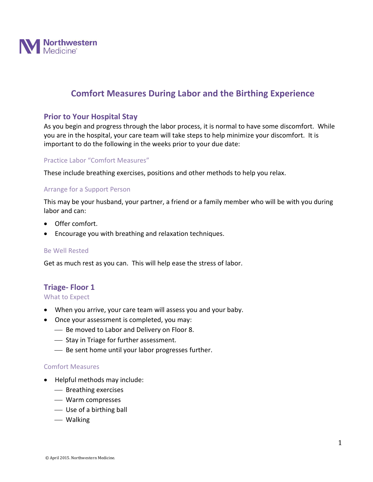

# **Comfort Measures During Labor and the Birthing Experience**

## **Prior to Your Hospital Stay**

As you begin and progress through the labor process, it is normal to have some discomfort. While you are in the hospital, your care team will take steps to help minimize your discomfort. It is important to do the following in the weeks prior to your due date:

## Practice Labor "Comfort Measures"

These include breathing exercises, positions and other methods to help you relax.

### Arrange for a Support Person

This may be your husband, your partner, a friend or a family member who will be with you during labor and can:

- Offer comfort.
- Encourage you with breathing and relaxation techniques.

#### Be Well Rested

Get as much rest as you can. This will help ease the stress of labor.

## **Triage- Floor 1**

#### What to Expect

- When you arrive, your care team will assess you and your baby.
- Once your assessment is completed, you may:
	- $-$  Be moved to Labor and Delivery on Floor 8.
	- $\overline{\phantom{a}}$  Stay in Triage for further assessment.
	- Be sent home until your labor progresses further.

#### Comfort Measures

- Helpful methods may include:
	- Breathing exercises
	- Warm compresses
	- Use of a birthing ball
	- Walking